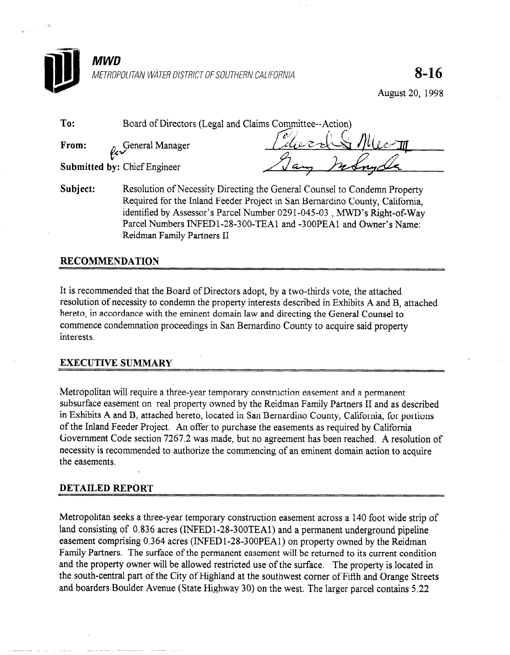

August 20, 1998

To: Board of Directors (Legal and Claims Committee--Action)

From: General Manager

v, Submitted by: Chief Engineer

Subject: Resolution of Necessity Directing the General Counsel to Condemn Property Required for the Inland Feeder Project in San Bernardino County, California, identified by Assessor's Parcel Number 0291-045-03, MWD's Right-of-Way Parcel Numbers INFED1-28-300-TEA1 and -300PEA1 and Owner's Name: Reidman Family Partners II

## RECOMMENDATION

It is recommended that the Board of Directors adopt, by a two-thirds vote, the attached resolution of necessity to condemn the property interests described in Exhibits A and B, attached hereto, in accordance with the eminent domain law and directing the General Counsel to commence condemnation proceedings in San Bernardino County to acquire said property interests.

### EXECUTIVE SUMMARY

Metropolitan will require a three-year temporary construction easement and a permanent subsurface easement on real property owned by the Reidman Family Partners II and as described in Exhibits A and B, attached hereto, located in San Bernardino County, California, for portions of the Inland Feeder Project. An offer to purchase the easements as required by California Government Code section 7267.2 was made, but no agreement has been reached. A resolution of necessity is recommended to authorize the commencing of an eminent domain action to acquire the easements.

### DETAILED REPORT

Metropolitan seeks a three-year temporary construction easement across a 140 foot wide strip of land consisting of 0.836 acres (INFED1-28-300TEA1) and a permanent underground pipeline easement comprising 0.364 acres (INFEDl-28-3OOPEAl) on property owned by the Reidman Family Partners. The surface of the permanent easement will be returned to its current condition and the property owner will be allowed restricted use of the surface. The property is located in the south-central part of the City of Highland at the southwest comer of Fifth and Orange Streets and boarders Boulder Avenue (State Highway 30) on the west. The larger parcel contains 5.22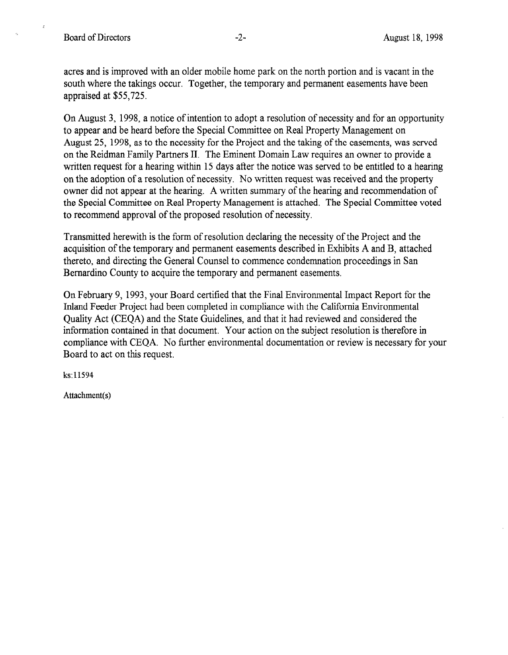acres and is improved with an older mobile home park on the north portion and is vacant in the south where the takings occur. Together, the temporary and permanent easements have been appraised at \$55,725.

On August 3, 1998, a notice of intention to adopt a resolution of necessity and for an opportunity to appear and be heard before the Special Committee on Real Property Management on August 25, 1998, as to the necessity for the Project and the taking of the easements, was served on the Reidman Family Partners II. The Eminent Domain Law requires an owner to provide a written request for a hearing within 15 days after the notice was served to be entitled to a hearing on the adoption of a resolution of necessity. No written request was received and the property owner did not appear at the hearing. A written summary of the hearing and recommendation of the Special Committee on Real Property Management is attached. The Special Committee voted to recommend approval of the proposed resolution of necessity.

Transmitted herewith is the form of resolution declaring the necessity of the Project and the acquisition of the temporary and permanent easements described in Exhibits A and B, attached thereto, and directing the General Counsel to commence condemnation proceedings in San Bernardino County to acquire the temporary and permanent easements.

On February 9, 1993, your Board certified that the Final Environmental Impact Report for the Inland Feeder Project had been completed in compliance with the California Environmental Quality Act (CEQA) and the State Guidelines, and that it had reviewed and considered the Quanty Fig. (CEQF) and the state durientles, and that it had reviewed and considered the mormanon comance in that document. Tour action on the subject resolution is therefore in compliance with CEQA. No further environmental documentation or review is necessary for your Board to act on this request.

ks:11594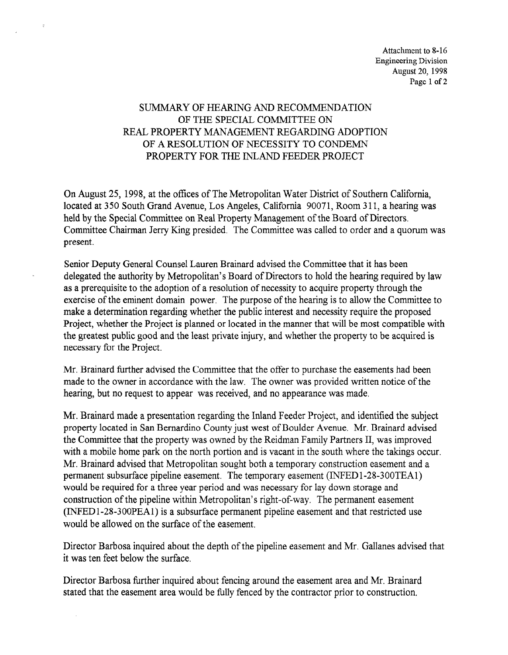## SUMMARY OF HEARING AND RECOMMENDATION OF THE SPECIAL COMMITTEE ON REAL PROPERTY MANAGEMENT REGARDING ADOPTION OF A RESOLUTION OF NECESSITY TO CONDEMN PROPERTY FOR THE INLAND FEEDER PROJECT

 $\mathcal{L}$ 

 $\mathcal{L}_{\mathcal{A}}$ 

On August 25, 1998, at the offices of The Metropolitan Water District of Southern California, located at 350 South Grand Avenue, Los Angeles, California 90071, Room 3 11, a hearing was held by the Special Committee on Real Property Management of the Board of Directors. Committee Chairman Jerry Ring presided. The Committee was called to order and a quorum was present.

Senior Deputy General Counsel Lauren Brainard advised the Committee that it has been delegated the authority by Metropolitan's Board of Directors to hold the hearing required by law as a prerequisite to the adoption of a resolution of necessity to acquire property through the exercise of the eminent domain power. The purpose of the hearing is to allow the Committee to make a determination regarding whether the public interest and necessity require the proposed make a determination regarding whether the plant interest and necessity require the proposed the greatest public greatest planned of located in the mainlet that while those companies where the greatest public good and the least private injury, and whether the property to be acquired is necessary for the Project.

Mr. Brainard further advised the Committee that the offer to purchase the easements had been with Dramatu further advised the Committee that the oner to purchase the easements had been made to the owner in accordance with the law. The owner was provided written notice of the hearing, but no request to appear was received, and no appearance was made.

Mr. Brainard made a presentation regarding the Inland Feeder Project, and identified the subject Mr. Brainard made a presentation regarding the Inland Feeder Project, and identified the subject property located in San Bernardino County just west of Boulder Avenue. Mr. Brainard advised the Committee that the property was owned by the Reidman Family Partners II, was improved with a mobile home park on the north portion and is vacant in the south where the takings occur. Mr. Brainard advised that Metropolitan sought both a temporary construction easement and a permanent subsurface pipeline easement. The temporary easement (INFED1-28-300TEA1) would be required for a three year period and was necessary for lay down storage and construction of the pipeline within Metropolitan's right-of-way. The permanent easement  $(NFED1-28-300PEA1)$  is a subsurface permanent pipeline easement and that restricted use would be allowed on the surface of the easement.

Director Barbosa inquired about the depth of the pipeline easement and Mr. Gallanes advised that it was ten feet below the surface.

Director Barbosa further inquired about fencing around the easement area and Mr. Brainard stated that the easement area would be fully fenced by the contractor prior to construction.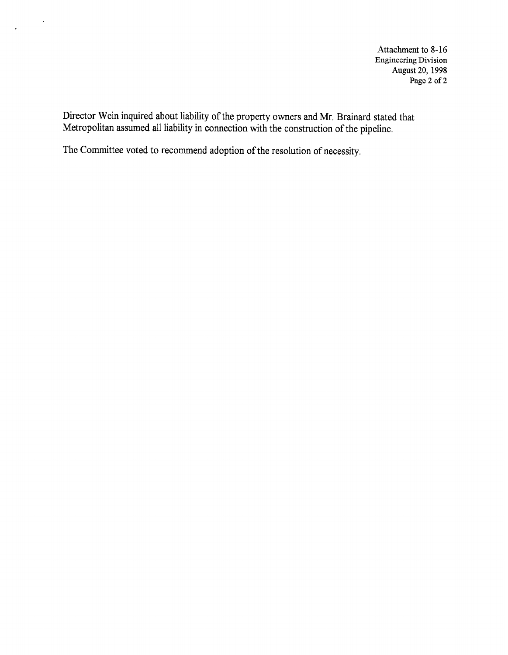Attachment to 8-16 Engineering Division August 20, 1998 Page 2 of 2

Director Wein inquired about liability of the property owners and Mr. Brainard stated that Metropolitan assumed all liability in connection with the construction of the pipeline,

The Committee voted to recommend adoption of the resolution of necessity.

 $\hat{x}$ 

 $\sim$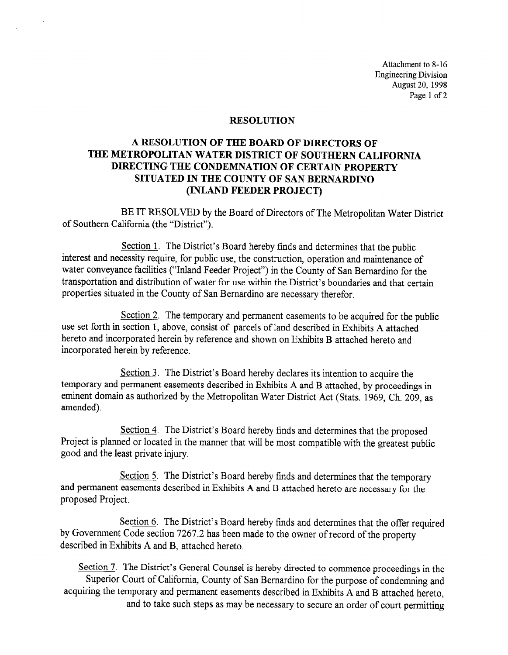Attachment to 8-16 Engineering Division August 20, 1998 Page 1 of 2

#### RESOLUTION

## A RESOLUTION OF THE BOARD OF DIRECTORS OF THE METROPOLITAN WATER DISTRICT OF SOUTHERN CALIFORNIA DIRECTING THE CONDEMNATION OF CERTAIN PROPERTY SITUATED IN THE COUNTY OF SAN BERNARDINO (INLAND FEEDER PROJECT)

BE IT RESOLVED by the Board of Directors of The Metropolitan Water District of Southern California (the "District").

Section 1. The District's Board hereby finds and determines that the public interest and necessity require, for public use, the construction, operation and maintenance of water conveyance facilities ("Inland Feeder Project") in the County of San Bernardino for the transportation and distribution of water for use within the District's boundaries and that certain properties situated in the County of San Bernardino are necessary therefor.

Section 2. The temporary and permanent easements to be acquired for the public use set forth in section 1, above, consist of parcels of land described in Exhibits A attached hereto and incorporated herein by reference and shown on Exhibits B attached hereto and incorporated herein by reference.

Section 3. The District's Board hereby declares its intention to acquire the temporary and permanent easements described in Exhibits A and B attached, by proceedings in eminent domain as authorized by the Metropolitan Water District Act (Stats. 1969, Ch. 209, as amended).

Section 4. The District's Board hereby finds and determines that the proposed Project is planned or located in the manner that will be most compatible with the greatest public good and the least private injury.

Section 5. The District's Board hereby finds and determines that the temporary and permanent easements described in Exhibits A and B attached hereto are necessary for the proposed Project.

Section 6. The District's Board hereby finds and determines that the offer required by Government Code section 7267.2 has been made to the owner of record of the property described in Exhibits A and B, attached hereto.

Section 7. The District's General Counsel is hereby directed to commence proceedings in the Superior Court of California, County of San Bernardino for the purpose of condemning and acquiring the temporary and permanent easements described in Exhibits A and B attached hereto, and to take such steps as may be necessary to secure an order of court permitting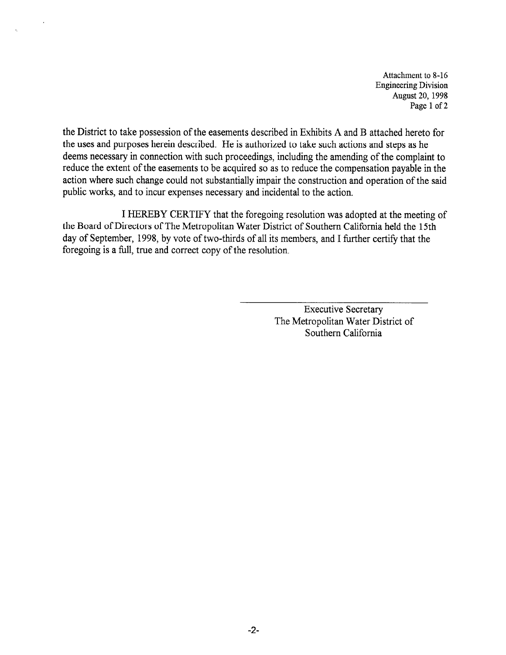Attachment to 8-16 Engineering Division August 20, 1998 Page 1 of 2

the District to take possession of the easements described in Exhibits A and B attached hereto for the uses and purposes herein described. He is authorized to take such actions and steps as he deems necessary in connection with such proceedings, including the amending of the complaint to reduce the extent of the easements to be acquired so as to reduce the compensation payable in the action where such change could not substantially impair the construction and operation of the said public works, and to incur expenses necessary and incidental to the action.

I HEREBY CERTIFY that the foregoing resolution was adopted at the meeting of the Board of Directors of The Metropolitan Water District of Southern California held the 15th day of September, 1998, by vote of two-thirds of all its members, and I further certify that the foregoing is a full, true and correct copy of the resolution.

> Executive Secretary The Metropolitan Water District of Southern California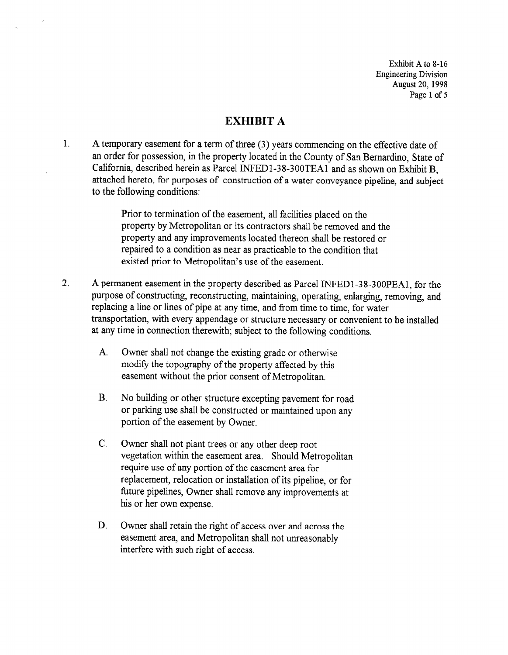Exhibit A to 8-16 Engineering Division August 20, 1998 Page 1 of 5

# EXHIBIT A

1. A temporary easement for a term of three (3) years commencing on the effective date of an order for possession, in the property located in the County of San Bernardino, State of California, described herein as Parcel INFED1-38-300TEA1 and as shown on Exhibit B, attached hereto, for purposes of construction of a water conveyance pipeline, and subject to the following conditions:

> Prior to termination of the easement, all facilities placed on the property by Metropolitan or its contractors shall be removed and the property and any improvements located thereon shall be restored or repaired to a condition as near as practicable to the condition that existed prior to Metropolitan's use of the easement.

- 2. A permanent easement in the property described as Parcel INFED l-3 8-3 OOPEAl, for the purpose of constructing, reconstructing, maintaining, operating, enlarging, removing, and replacing a line or lines of pipe at any time, and from time to time, for water transportation, with every appendage or structure necessary or convenient to be installed at any time in connection therewith; subject to the following conditions.
	- A. Owner shall not change the existing grade or otherwise modify the topography of the property affected by this easement without the prior consent of Metropolitan.
	- B. No building or other structure excepting pavement for road or parking use shall be constructed or maintained upon any portion of the easement by Owner.
	- C. Owner shall not plant trees or any other deep root vegetation within the easement area. Should Metropolitan require use of any portion of the easement area for replacement, relocation or installation of its pipeline, or for future pipelines, Owner shall remove any improvements at his or her own expense.
	- D. Owner shall retain the right of access over and across the easement area, and Metropolitan shall not unreasonably interfere with such right of access.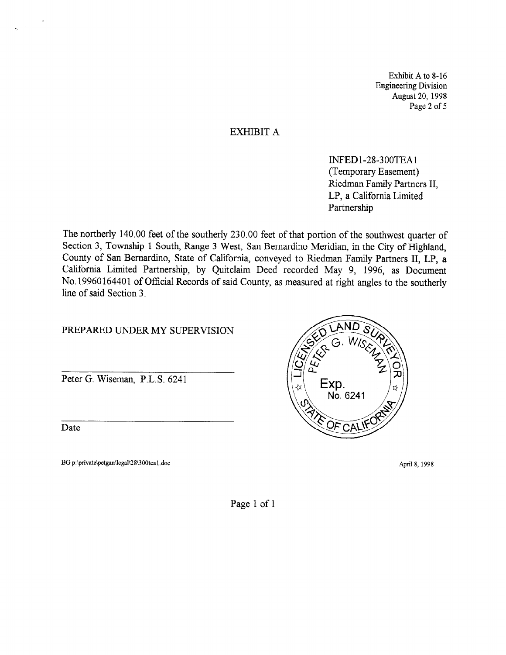Exhibit A to 8-16 Engineering Division August 20, 1998 Page 2 of 5

#### EXHIBIT A

INFEDl-28-300TEAl (Temporary Easement) Riedman Family Partners II, LP, a California Limited Partnership

The northerly 140.00 feet of the southerly 230.00 feet of that portion of the southwest quarter of Section 3, Township 1 South, Range 3 West, San Bernardino Meridian, in the City of Highland, County of San Bernardino, State of California, conveyed to Riedman Family Partners II, LP, a California Limited Partnership, by Quitclaim Deed recorded May 9, 1996, as Document No. 19960164401 of Official Records of said County, as measured at right angles to the southerly line of said Section 3.

#### PREPARED UNDER MY SUPERVISION

Peter G. Wiseman, P.L.S. 6241

Date

BG p:\private\petgan\legal\28\300teal.doc April 8, 1998



Page 1 of 1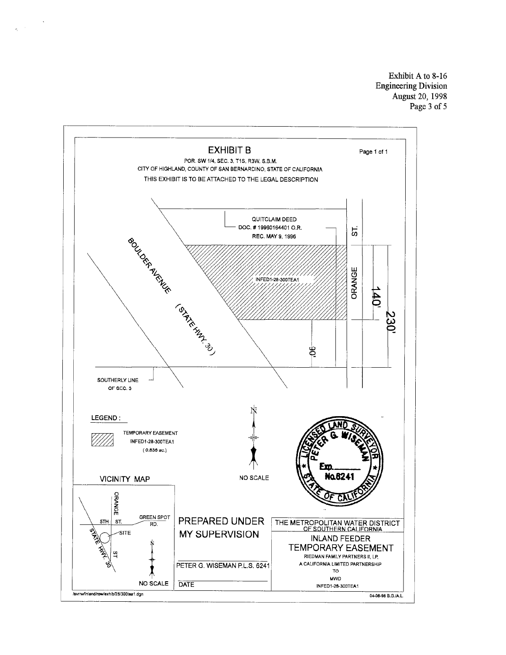Exhibit A to 8-16 Engineering Division August 20, 1998 Page 3 of 5



 $\mathcal{L}^{\pm}$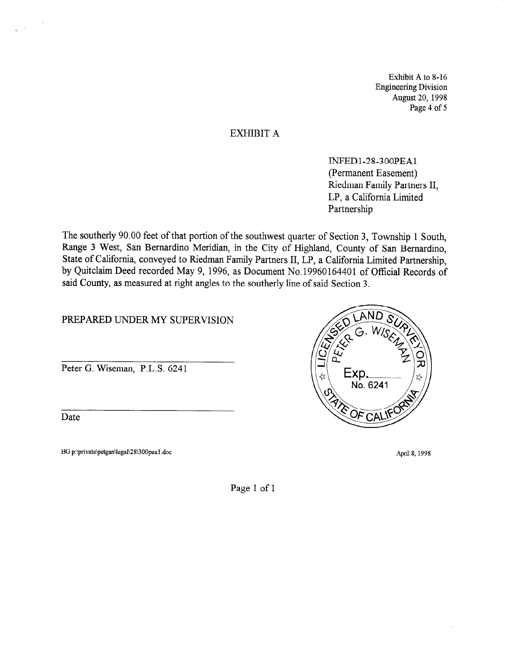Exhibit A to 8-16 Engineering Division August 20, 1998 Page 4 of 5

#### EXHIBIT A

INFEDl-28-300PEAl (Permanent Easement) Riedman Family Partners II, LP, a California Limited Partnership

The southerly 90.00 feet of that portion of the southwest quarter of Section 3, Township 1 South, Range 3 West, San Bernardino Meridian, in the City of Highland, County of San Bernardino, State of California, conveyed to Riedman Family Partners II, LP, a California Limited Partnership, by Quitclaim Deed recorded May 9, 1996, as Document No. 19960164401 of Official Records of said County, as measured at right angles to the southerly line of said Section 3.

PREPARED UNDER MY SUPERVISION

Peter G. Wiseman, P.L.S. 6241

Date

BG p:\private\petgan\legal\28\300pea1.doc April 8, 1998



Page 1 of 1